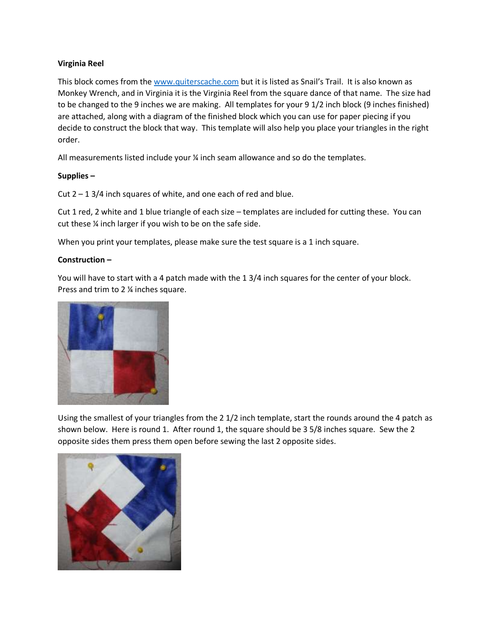## **Virginia Reel**

This block comes from the [www.quiterscache.com](http://www.quiterscache.com/) but it is listed as Snail's Trail. It is also known as Monkey Wrench, and in Virginia it is the Virginia Reel from the square dance of that name. The size had to be changed to the 9 inches we are making. All templates for your 9 1/2 inch block (9 inches finished) are attached, along with a diagram of the finished block which you can use for paper piecing if you decide to construct the block that way. This template will also help you place your triangles in the right order.

All measurements listed include your ¼ inch seam allowance and so do the templates.

## **Supplies –**

Cut  $2 - 13/4$  inch squares of white, and one each of red and blue.

Cut 1 red, 2 white and 1 blue triangle of each size – templates are included for cutting these. You can cut these ¼ inch larger if you wish to be on the safe side.

When you print your templates, please make sure the test square is a 1 inch square.

## **Construction –**

You will have to start with a 4 patch made with the 1 3/4 inch squares for the center of your block. Press and trim to 2 ¼ inches square.



Using the smallest of your triangles from the 2 1/2 inch template, start the rounds around the 4 patch as shown below. Here is round 1. After round 1, the square should be 3 5/8 inches square. Sew the 2 opposite sides them press them open before sewing the last 2 opposite sides.

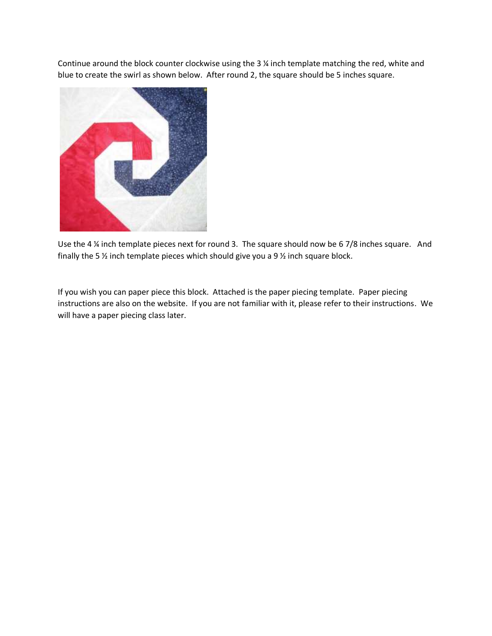Continue around the block counter clockwise using the 3 ¼ inch template matching the red, white and blue to create the swirl as shown below. After round 2, the square should be 5 inches square.



Use the 4 ¼ inch template pieces next for round 3. The square should now be 6 7/8 inches square. And finally the 5  $\frac{1}{2}$  inch template pieces which should give you a 9  $\frac{1}{2}$  inch square block.

If you wish you can paper piece this block. Attached is the paper piecing template. Paper piecing instructions are also on the website. If you are not familiar with it, please refer to their instructions. We will have a paper piecing class later.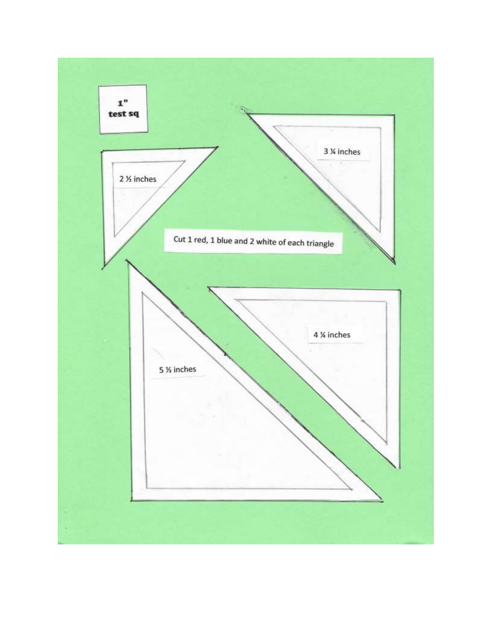